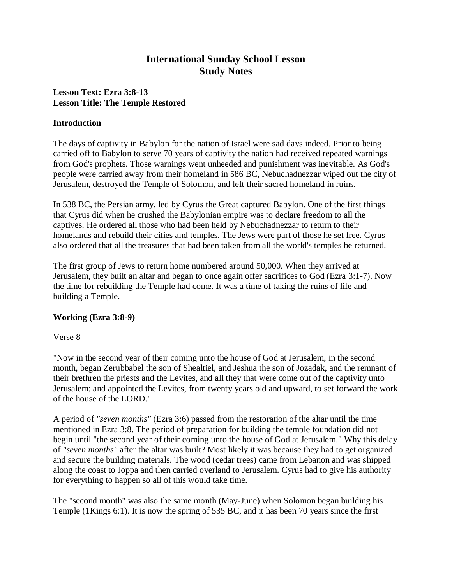# **International Sunday School Lesson Study Notes**

# **Lesson Text: Ezra 3:8-13 Lesson Title: The Temple Restored**

### **Introduction**

The days of captivity in Babylon for the nation of Israel were sad days indeed. Prior to being carried off to Babylon to serve 70 years of captivity the nation had received repeated warnings from God's prophets. Those warnings went unheeded and punishment was inevitable. As God's people were carried away from their homeland in 586 BC, Nebuchadnezzar wiped out the city of Jerusalem, destroyed the Temple of Solomon, and left their sacred homeland in ruins.

In 538 BC, the Persian army, led by Cyrus the Great captured Babylon. One of the first things that Cyrus did when he crushed the Babylonian empire was to declare freedom to all the captives. He ordered all those who had been held by Nebuchadnezzar to return to their homelands and rebuild their cities and temples. The Jews were part of those he set free. Cyrus also ordered that all the treasures that had been taken from all the world's temples be returned.

The first group of Jews to return home numbered around 50,000. When they arrived at Jerusalem, they built an altar and began to once again offer sacrifices to God (Ezra 3:1-7). Now the time for rebuilding the Temple had come. It was a time of taking the ruins of life and building a Temple.

# **Working (Ezra 3:8-9)**

# Verse 8

"Now in the second year of their coming unto the house of God at Jerusalem, in the second month, began Zerubbabel the son of Shealtiel, and Jeshua the son of Jozadak, and the remnant of their brethren the priests and the Levites, and all they that were come out of the captivity unto Jerusalem; and appointed the Levites, from twenty years old and upward, to set forward the work of the house of the LORD."

A period of *"seven months"* (Ezra 3:6) passed from the restoration of the altar until the time mentioned in Ezra 3:8. The period of preparation for building the temple foundation did not begin until "the second year of their coming unto the house of God at Jerusalem." Why this delay of *"seven months"* after the altar was built? Most likely it was because they had to get organized and secure the building materials. The wood (cedar trees) came from Lebanon and was shipped along the coast to Joppa and then carried overland to Jerusalem. Cyrus had to give his authority for everything to happen so all of this would take time.

The "second month" was also the same month (May-June) when Solomon began building his Temple (1Kings 6:1). It is now the spring of 535 BC, and it has been 70 years since the first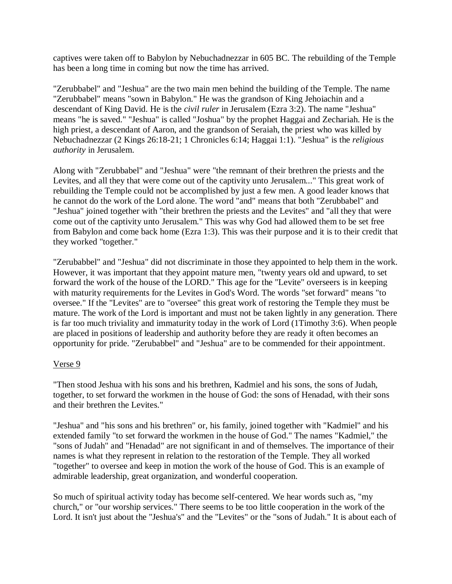captives were taken off to Babylon by Nebuchadnezzar in 605 BC. The rebuilding of the Temple has been a long time in coming but now the time has arrived.

"Zerubbabel" and "Jeshua" are the two main men behind the building of the Temple. The name "Zerubbabel" means "sown in Babylon." He was the grandson of King Jehoiachin and a descendant of King David. He is the *civil ruler* in Jerusalem (Ezra 3:2). The name "Jeshua" means "he is saved." "Jeshua" is called "Joshua" by the prophet Haggai and Zechariah. He is the high priest, a descendant of Aaron, and the grandson of Seraiah, the priest who was killed by Nebuchadnezzar (2 Kings 26:18-21; 1 Chronicles 6:14; Haggai 1:1). "Jeshua" is the *religious authority* in Jerusalem.

Along with "Zerubbabel" and "Jeshua" were "the remnant of their brethren the priests and the Levites, and all they that were come out of the captivity unto Jerusalem..." This great work of rebuilding the Temple could not be accomplished by just a few men. A good leader knows that he cannot do the work of the Lord alone. The word "and" means that both "Zerubbabel" and "Jeshua" joined together with "their brethren the priests and the Levites" and "all they that were come out of the captivity unto Jerusalem." This was why God had allowed them to be set free from Babylon and come back home (Ezra 1:3). This was their purpose and it is to their credit that they worked "together."

"Zerubabbel" and "Jeshua" did not discriminate in those they appointed to help them in the work. However, it was important that they appoint mature men, "twenty years old and upward, to set forward the work of the house of the LORD." This age for the "Levite" overseers is in keeping with maturity requirements for the Levites in God's Word. The words "set forward" means "to oversee." If the "Levites" are to "oversee" this great work of restoring the Temple they must be mature. The work of the Lord is important and must not be taken lightly in any generation. There is far too much triviality and immaturity today in the work of Lord (1Timothy 3:6). When people are placed in positions of leadership and authority before they are ready it often becomes an opportunity for pride. "Zerubabbel" and "Jeshua" are to be commended for their appointment.

# Verse 9

"Then stood Jeshua with his sons and his brethren, Kadmiel and his sons, the sons of Judah, together, to set forward the workmen in the house of God: the sons of Henadad, with their sons and their brethren the Levites."

"Jeshua" and "his sons and his brethren" or, his family, joined together with "Kadmiel" and his extended family "to set forward the workmen in the house of God." The names "Kadmiel," the "sons of Judah" and "Henadad" are not significant in and of themselves. The importance of their names is what they represent in relation to the restoration of the Temple. They all worked "together" to oversee and keep in motion the work of the house of God. This is an example of admirable leadership, great organization, and wonderful cooperation.

So much of spiritual activity today has become self-centered. We hear words such as, "my church," or "our worship services." There seems to be too little cooperation in the work of the Lord. It isn't just about the "Jeshua's" and the "Levites" or the "sons of Judah." It is about each of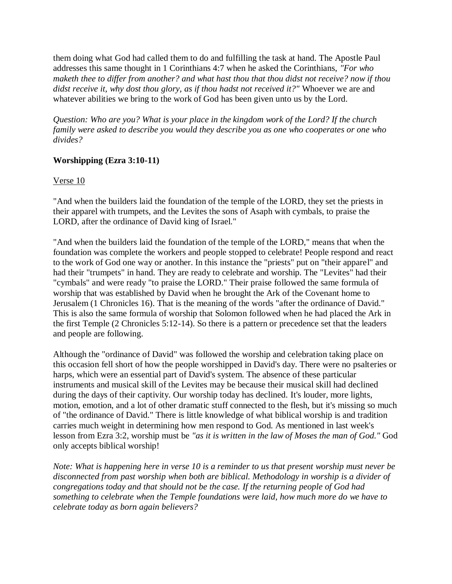them doing what God had called them to do and fulfilling the task at hand. The Apostle Paul addresses this same thought in 1 Corinthians 4:7 when he asked the Corinthians, *"For who maketh thee to differ from another? and what hast thou that thou didst not receive? now if thou didst receive it, why dost thou glory, as if thou hadst not received it?"* Whoever we are and whatever abilities we bring to the work of God has been given unto us by the Lord.

*Question: Who are you? What is your place in the kingdom work of the Lord? If the church family were asked to describe you would they describe you as one who cooperates or one who divides?*

# **Worshipping (Ezra 3:10-11)**

Verse 10

"And when the builders laid the foundation of the temple of the LORD, they set the priests in their apparel with trumpets, and the Levites the sons of Asaph with cymbals, to praise the LORD, after the ordinance of David king of Israel."

"And when the builders laid the foundation of the temple of the LORD," means that when the foundation was complete the workers and people stopped to celebrate! People respond and react to the work of God one way or another. In this instance the "priests" put on "their apparel" and had their "trumpets" in hand. They are ready to celebrate and worship. The "Levites" had their "cymbals" and were ready "to praise the LORD." Their praise followed the same formula of worship that was established by David when he brought the Ark of the Covenant home to Jerusalem (1 Chronicles 16). That is the meaning of the words "after the ordinance of David." This is also the same formula of worship that Solomon followed when he had placed the Ark in the first Temple (2 Chronicles 5:12-14). So there is a pattern or precedence set that the leaders and people are following.

Although the "ordinance of David" was followed the worship and celebration taking place on this occasion fell short of how the people worshipped in David's day. There were no psalteries or harps, which were an essential part of David's system. The absence of these particular instruments and musical skill of the Levites may be because their musical skill had declined during the days of their captivity. Our worship today has declined. It's louder, more lights, motion, emotion, and a lot of other dramatic stuff connected to the flesh, but it's missing so much of "the ordinance of David." There is little knowledge of what biblical worship is and tradition carries much weight in determining how men respond to God. As mentioned in last week's lesson from Ezra 3:2, worship must be *"as it is written in the law of Moses the man of God."* God only accepts biblical worship!

*Note: What is happening here in verse 10 is a reminder to us that present worship must never be disconnected from past worship when both are biblical. Methodology in worship is a divider of congregations today and that should not be the case. If the returning people of God had something to celebrate when the Temple foundations were laid, how much more do we have to celebrate today as born again believers?*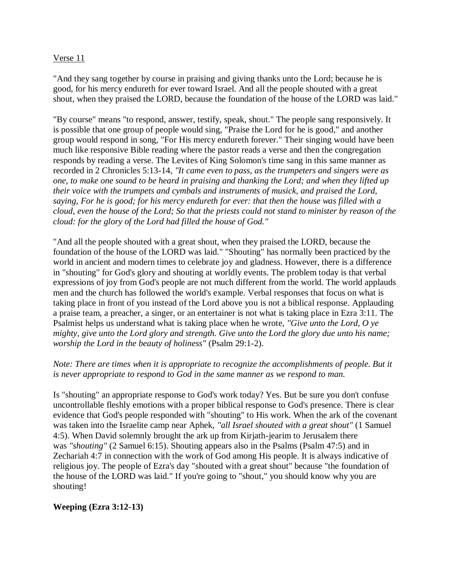### Verse 11

"And they sang together by course in praising and giving thanks unto the Lord; because he is good, for his mercy endureth for ever toward Israel. And all the people shouted with a great shout, when they praised the LORD, because the foundation of the house of the LORD was laid."

"By course" means "to respond, answer, testify, speak, shout." The people sang responsively. It is possible that one group of people would sing, "Praise the Lord for he is good," and another group would respond in song, "For His mercy endureth forever." Their singing would have been much like responsive Bible reading where the pastor reads a verse and then the congregation responds by reading a verse. The Levites of King Solomon's time sang in this same manner as recorded in 2 Chronicles 5:13-14, *"It came even to pass, as the trumpeters and singers were as one, to make one sound to be heard in praising and thanking the Lord; and when they lifted up their voice with the trumpets and cymbals and instruments of musick, and praised the Lord, saying, For he is good; for his mercy endureth for ever: that then the house was filled with a cloud, even the house of the Lord; So that the priests could not stand to minister by reason of the cloud: for the glory of the Lord had filled the house of God."*

"And all the people shouted with a great shout, when they praised the LORD, because the foundation of the house of the LORD was laid." "Shouting" has normally been practiced by the world in ancient and modern times to celebrate joy and gladness. However, there is a difference in "shouting" for God's glory and shouting at worldly events. The problem today is that verbal expressions of joy from God's people are not much different from the world. The world applauds men and the church has followed the world's example. Verbal responses that focus on what is taking place in front of you instead of the Lord above you is not a biblical response. Applauding a praise team, a preacher, a singer, or an entertainer is not what is taking place in Ezra 3:11. The Psalmist helps us understand what is taking place when he wrote, *"Give unto the Lord, O ye mighty, give unto the Lord glory and strength. Give unto the Lord the glory due unto his name; worship the Lord in the beauty of holiness"* (Psalm 29:1-2).

### *Note: There are times when it is appropriate to recognize the accomplishments of people. But it is never appropriate to respond to God in the same manner as we respond to man.*

Is "shouting" an appropriate response to God's work today? Yes. But be sure you don't confuse uncontrollable fleshly emotions with a proper biblical response to God's presence. There is clear evidence that God's people responded with "shouting" to His work. When the ark of the covenant was taken into the Israelite camp near Aphek, *"all Israel shouted with a great shout"* (1 Samuel 4:5). When David solemnly brought the ark up from Kirjath-jearim to Jerusalem there was *"shouting"* (2 Samuel 6:15). Shouting appears also in the Psalms (Psalm 47:5) and in Zechariah 4:7 in connection with the work of God among His people. It is always indicative of religious joy. The people of Ezra's day "shouted with a great shout" because "the foundation of the house of the LORD was laid." If you're going to "shout," you should know why you are shouting!

# **Weeping (Ezra 3:12-13)**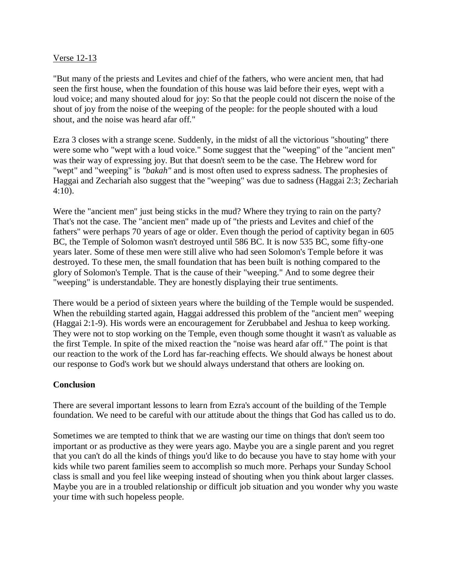### Verse 12-13

"But many of the priests and Levites and chief of the fathers, who were ancient men, that had seen the first house, when the foundation of this house was laid before their eyes, wept with a loud voice; and many shouted aloud for joy: So that the people could not discern the noise of the shout of joy from the noise of the weeping of the people: for the people shouted with a loud shout, and the noise was heard afar off."

Ezra 3 closes with a strange scene. Suddenly, in the midst of all the victorious "shouting" there were some who "wept with a loud voice." Some suggest that the "weeping" of the "ancient men" was their way of expressing joy. But that doesn't seem to be the case. The Hebrew word for "wept" and "weeping" is *"bakah"* and is most often used to express sadness. The prophesies of Haggai and Zechariah also suggest that the "weeping" was due to sadness (Haggai 2:3; Zechariah 4:10).

Were the "ancient men" just being sticks in the mud? Where they trying to rain on the party? That's not the case. The "ancient men" made up of "the priests and Levites and chief of the fathers" were perhaps 70 years of age or older. Even though the period of captivity began in 605 BC, the Temple of Solomon wasn't destroyed until 586 BC. It is now 535 BC, some fifty-one years later. Some of these men were still alive who had seen Solomon's Temple before it was destroyed. To these men, the small foundation that has been built is nothing compared to the glory of Solomon's Temple. That is the cause of their "weeping." And to some degree their "weeping" is understandable. They are honestly displaying their true sentiments.

There would be a period of sixteen years where the building of the Temple would be suspended. When the rebuilding started again, Haggai addressed this problem of the "ancient men" weeping (Haggai 2:1-9). His words were an encouragement for Zerubbabel and Jeshua to keep working. They were not to stop working on the Temple, even though some thought it wasn't as valuable as the first Temple. In spite of the mixed reaction the "noise was heard afar off." The point is that our reaction to the work of the Lord has far-reaching effects. We should always be honest about our response to God's work but we should always understand that others are looking on.

#### **Conclusion**

There are several important lessons to learn from Ezra's account of the building of the Temple foundation. We need to be careful with our attitude about the things that God has called us to do.

Sometimes we are tempted to think that we are wasting our time on things that don't seem too important or as productive as they were years ago. Maybe you are a single parent and you regret that you can't do all the kinds of things you'd like to do because you have to stay home with your kids while two parent families seem to accomplish so much more. Perhaps your Sunday School class is small and you feel like weeping instead of shouting when you think about larger classes. Maybe you are in a troubled relationship or difficult job situation and you wonder why you waste your time with such hopeless people.